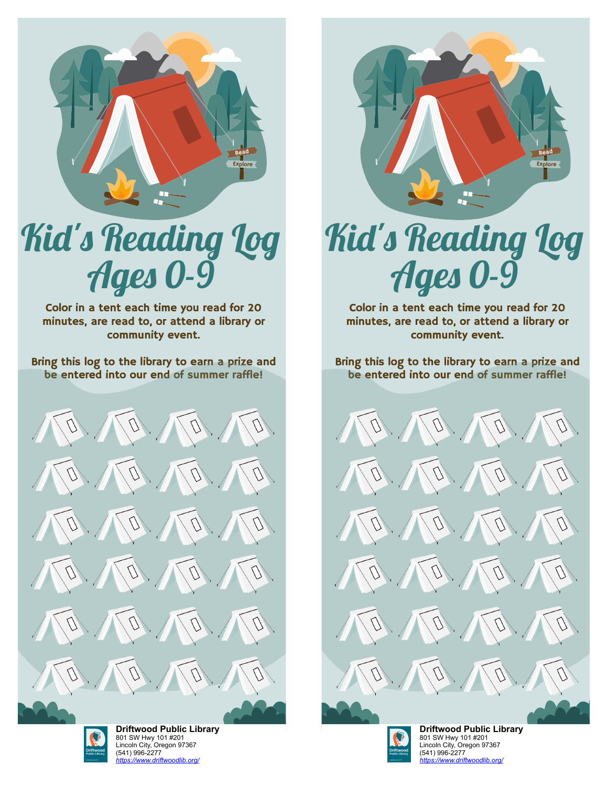

## Kid's Reading Log Ages 0-9

Color in a tent each time you read for 20 minutes, are read to, or attend a library or community event.

Bring this log to the library to earn a prize and be entered into our end of summer raffle!





**[D](https://libraryaware.com/2JBZJ9)riftwood Public Library** 801 SW Hwy 101 #201 [L](https://libraryaware.com/2JBZJ9)incoln City, Oregon 97367 (541) 996-2277 *[https://www.driftwoodlib.org/](https://libraryaware.com/2JBZJ9)*



## Kid's Reading Log Ages 0-9

Color in a tent each time you read for 20 minutes, are read to, or attend a library or community event.

Bring this log to the library to earn a prize and be entered into our end of summer raffle!





**[D](https://libraryaware.com/2JBZJ9)riftwood Public Library** 801 SW Hwy 101 #201 [L](https://libraryaware.com/2JBZJ9)incoln City, Oregon 97367 (541) 996-2277 *[https://www.driftwoodlib.org/](https://libraryaware.com/2JBZJ9)*